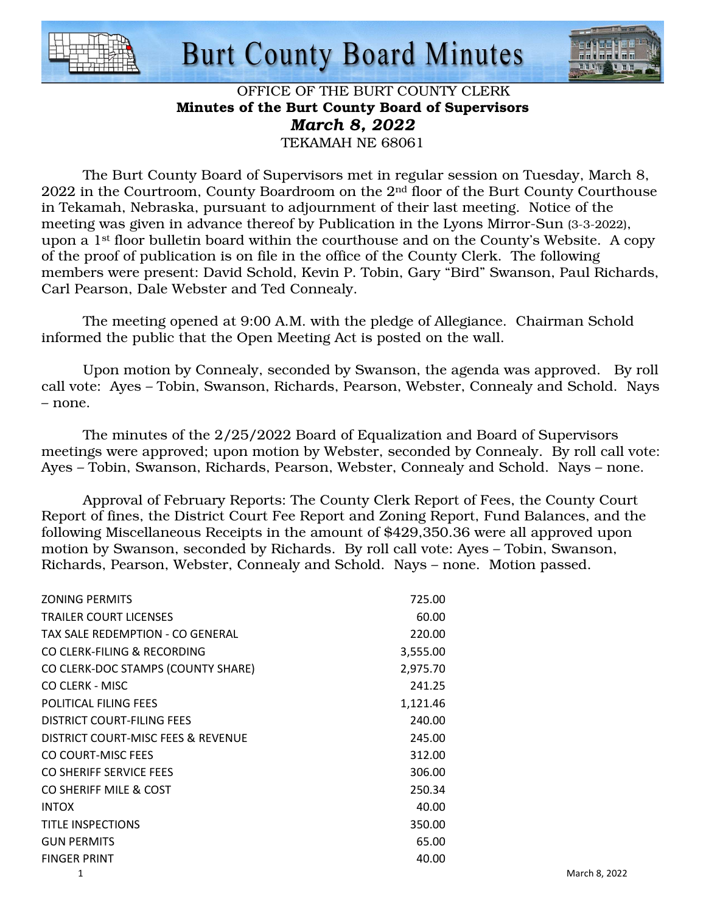

## **Burt County Board Minutes**



### OFFICE OF THE BURT COUNTY CLERK Minutes of the Burt County Board of Supervisors *March 8, 2022*  TEKAMAH NE 68061

 The Burt County Board of Supervisors met in regular session on Tuesday, March 8, 2022 in the Courtroom, County Boardroom on the 2nd floor of the Burt County Courthouse in Tekamah, Nebraska, pursuant to adjournment of their last meeting. Notice of the meeting was given in advance thereof by Publication in the Lyons Mirror-Sun (3-3-2022), upon a 1st floor bulletin board within the courthouse and on the County's Website. A copy of the proof of publication is on file in the office of the County Clerk. The following members were present: David Schold, Kevin P. Tobin, Gary "Bird" Swanson, Paul Richards, Carl Pearson, Dale Webster and Ted Connealy.

 The meeting opened at 9:00 A.M. with the pledge of Allegiance. Chairman Schold informed the public that the Open Meeting Act is posted on the wall.

 Upon motion by Connealy, seconded by Swanson, the agenda was approved. By roll call vote: Ayes – Tobin, Swanson, Richards, Pearson, Webster, Connealy and Schold. Nays – none.

 The minutes of the 2/25/2022 Board of Equalization and Board of Supervisors meetings were approved; upon motion by Webster, seconded by Connealy. By roll call vote: Ayes – Tobin, Swanson, Richards, Pearson, Webster, Connealy and Schold. Nays – none.

 Approval of February Reports: The County Clerk Report of Fees, the County Court Report of fines, the District Court Fee Report and Zoning Report, Fund Balances, and the following Miscellaneous Receipts in the amount of \$429,350.36 were all approved upon motion by Swanson, seconded by Richards. By roll call vote: Ayes – Tobin, Swanson, Richards, Pearson, Webster, Connealy and Schold. Nays – none. Motion passed.

| <b>ZONING PERMITS</b>              | 725.00   |               |
|------------------------------------|----------|---------------|
| <b>TRAILER COURT LICENSES</b>      | 60.00    |               |
| TAX SALE REDEMPTION - CO GENERAL   | 220.00   |               |
| CO CLERK-FILING & RECORDING        | 3,555.00 |               |
| CO CLERK-DOC STAMPS (COUNTY SHARE) | 2,975.70 |               |
| CO CLERK - MISC                    | 241.25   |               |
| <b>POLITICAL FILING FEES</b>       | 1,121.46 |               |
| DISTRICT COURT-FILING FEES         | 240.00   |               |
| DISTRICT COURT-MISC FEES & REVENUE | 245.00   |               |
| CO COURT-MISC FEES                 | 312.00   |               |
| CO SHERIFF SERVICE FEES            | 306.00   |               |
| CO SHERIFF MILE & COST             | 250.34   |               |
| <b>INTOX</b>                       | 40.00    |               |
| <b>TITLE INSPECTIONS</b>           | 350.00   |               |
| <b>GUN PERMITS</b>                 | 65.00    |               |
| <b>FINGER PRINT</b>                | 40.00    |               |
| 1                                  |          | March 8, 2022 |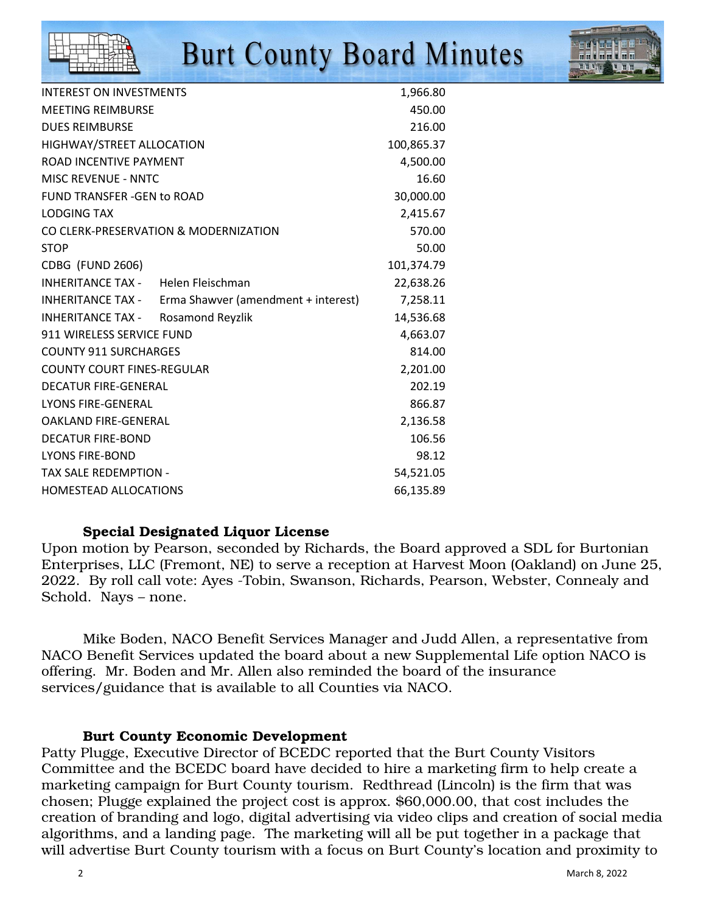

# **Burt County Board Minutes**

| <b>INTEREST ON INVESTMENTS</b>                           | 1,966.80   |
|----------------------------------------------------------|------------|
| <b>MEETING REIMBURSE</b>                                 | 450.00     |
| <b>DUES REIMBURSE</b>                                    | 216.00     |
| HIGHWAY/STREET ALLOCATION                                | 100,865.37 |
| ROAD INCENTIVE PAYMENT                                   | 4,500.00   |
| <b>MISC REVENUE - NNTC</b>                               | 16.60      |
| <b>FUND TRANSFER -GEN to ROAD</b>                        | 30,000.00  |
| <b>LODGING TAX</b>                                       | 2,415.67   |
| CO CLERK-PRESERVATION & MODERNIZATION                    | 570.00     |
| <b>STOP</b>                                              | 50.00      |
| CDBG (FUND 2606)                                         | 101,374.79 |
| <b>INHERITANCE TAX - Helen Fleischman</b>                | 22,638.26  |
| INHERITANCE TAX -<br>Erma Shawver (amendment + interest) | 7,258.11   |
| INHERITANCE TAX -<br>Rosamond Reyzlik                    | 14,536.68  |
| 911 WIRELESS SERVICE FUND                                | 4,663.07   |
| <b>COUNTY 911 SURCHARGES</b>                             | 814.00     |
| <b>COUNTY COURT FINES-REGULAR</b>                        | 2,201.00   |
| <b>DECATUR FIRE-GENERAL</b>                              | 202.19     |
| <b>LYONS FIRE-GENERAL</b>                                | 866.87     |
| <b>OAKLAND FIRE-GENERAL</b>                              | 2,136.58   |
| <b>DECATUR FIRE-BOND</b>                                 | 106.56     |
| <b>LYONS FIRE-BOND</b>                                   | 98.12      |
| <b>TAX SALE REDEMPTION -</b>                             | 54,521.05  |
| <b>HOMESTEAD ALLOCATIONS</b>                             | 66,135.89  |

### Special Designated Liquor License

Upon motion by Pearson, seconded by Richards, the Board approved a SDL for Burtonian Enterprises, LLC (Fremont, NE) to serve a reception at Harvest Moon (Oakland) on June 25, 2022. By roll call vote: Ayes -Tobin, Swanson, Richards, Pearson, Webster, Connealy and Schold. Nays – none.

 Mike Boden, NACO Benefit Services Manager and Judd Allen, a representative from NACO Benefit Services updated the board about a new Supplemental Life option NACO is offering. Mr. Boden and Mr. Allen also reminded the board of the insurance services/guidance that is available to all Counties via NACO.

#### Burt County Economic Development

Patty Plugge, Executive Director of BCEDC reported that the Burt County Visitors Committee and the BCEDC board have decided to hire a marketing firm to help create a marketing campaign for Burt County tourism. Redthread (Lincoln) is the firm that was chosen; Plugge explained the project cost is approx. \$60,000.00, that cost includes the creation of branding and logo, digital advertising via video clips and creation of social media algorithms, and a landing page. The marketing will all be put together in a package that will advertise Burt County tourism with a focus on Burt County's location and proximity to